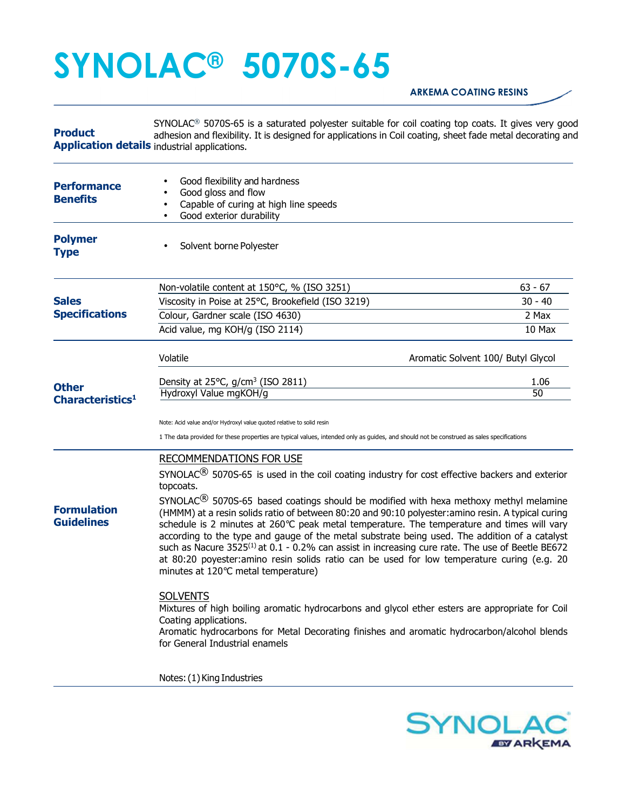## **SYNOLAC® 5070S-65**

## **ARKEMA COATING RESINS**

**Product Application details** industrial applications. SYNOLAC® 5070S-65 is a saturated polyester suitable for coil coating top coats. It gives very good adhesion and flexibility. It is designed for applications in Coil coating, sheet fade metal decorating and

| <b>Performance</b><br><b>Benefits</b>        | Good flexibility and hardness<br>Good gloss and flow<br>Capable of curing at high line speeds<br>Good exterior durability<br>$\bullet$                                                                                                                                                                                                                                                                                                                                                                                                                                                                                                                         |                                    |  |
|----------------------------------------------|----------------------------------------------------------------------------------------------------------------------------------------------------------------------------------------------------------------------------------------------------------------------------------------------------------------------------------------------------------------------------------------------------------------------------------------------------------------------------------------------------------------------------------------------------------------------------------------------------------------------------------------------------------------|------------------------------------|--|
| <b>Polymer</b><br><b>Type</b>                | Solvent borne Polyester                                                                                                                                                                                                                                                                                                                                                                                                                                                                                                                                                                                                                                        |                                    |  |
|                                              | Non-volatile content at 150°C, % (ISO 3251)                                                                                                                                                                                                                                                                                                                                                                                                                                                                                                                                                                                                                    | $63 - 67$                          |  |
| <b>Sales</b>                                 | Viscosity in Poise at 25°C, Brookefield (ISO 3219)                                                                                                                                                                                                                                                                                                                                                                                                                                                                                                                                                                                                             | $30 - 40$                          |  |
| <b>Specifications</b>                        | Colour, Gardner scale (ISO 4630)                                                                                                                                                                                                                                                                                                                                                                                                                                                                                                                                                                                                                               | 2 Max                              |  |
|                                              | Acid value, mg KOH/g (ISO 2114)                                                                                                                                                                                                                                                                                                                                                                                                                                                                                                                                                                                                                                | 10 Max                             |  |
|                                              | Volatile                                                                                                                                                                                                                                                                                                                                                                                                                                                                                                                                                                                                                                                       | Aromatic Solvent 100/ Butyl Glycol |  |
|                                              | Density at 25 $^{\circ}$ C, g/cm <sup>3</sup> (ISO 2811)                                                                                                                                                                                                                                                                                                                                                                                                                                                                                                                                                                                                       | 1.06                               |  |
| <b>Other</b><br>Characteristics <sup>1</sup> | Hydroxyl Value mgKOH/g                                                                                                                                                                                                                                                                                                                                                                                                                                                                                                                                                                                                                                         | 50                                 |  |
|                                              | Note: Acid value and/or Hydroxyl value quoted relative to solid resin<br>1 The data provided for these properties are typical values, intended only as guides, and should not be construed as sales specifications                                                                                                                                                                                                                                                                                                                                                                                                                                             |                                    |  |
|                                              | RECOMMENDATIONS FOR USE<br>SYNOLAC <sup>®</sup> 5070S-65 is used in the coil coating industry for cost effective backers and exterior<br>topcoats.                                                                                                                                                                                                                                                                                                                                                                                                                                                                                                             |                                    |  |
| <b>Formulation</b><br><b>Guidelines</b>      | SYNOLAC $^{\circledR}$ 5070S-65 based coatings should be modified with hexa methoxy methyl melamine<br>(HMMM) at a resin solids ratio of between 80:20 and 90:10 polyester: amino resin. A typical curing<br>schedule is 2 minutes at 260°C peak metal temperature. The temperature and times will vary<br>according to the type and gauge of the metal substrate being used. The addition of a catalyst<br>such as Nacure 3525 <sup>(1)</sup> at 0.1 - 0.2% can assist in increasing cure rate. The use of Beetle BE672<br>at 80:20 poyester: amino resin solids ratio can be used for low temperature curing (e.g. 20<br>minutes at 120°C metal temperature) |                                    |  |
|                                              | <b>SOLVENTS</b><br>Mixtures of high boiling aromatic hydrocarbons and glycol ether esters are appropriate for Coil<br>Coating applications.<br>Aromatic hydrocarbons for Metal Decorating finishes and aromatic hydrocarbon/alcohol blends<br>for General Industrial enamels                                                                                                                                                                                                                                                                                                                                                                                   |                                    |  |
|                                              | Notes: (1) King Industries                                                                                                                                                                                                                                                                                                                                                                                                                                                                                                                                                                                                                                     |                                    |  |